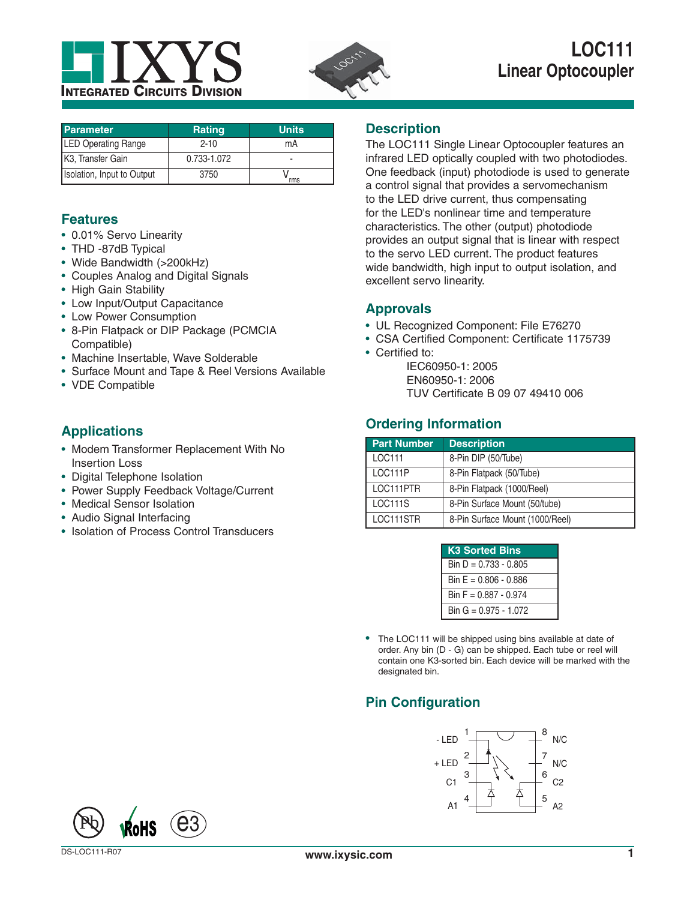



| <b>Parameter</b>               | <b>Rating</b> | <b>Units</b> |
|--------------------------------|---------------|--------------|
| <b>LED Operating Range</b>     | $2 - 10$      | mA           |
| K <sub>3</sub> , Transfer Gain | 0.733-1.072   |              |
| Isolation, Input to Output     | 3750          | rms          |

## **Features**

- 0.01% Servo Linearity
- THD -87dB Typical
- Wide Bandwidth (>200kHz)
- Couples Analog and Digital Signals
- High Gain Stability
- Low Input/Output Capacitance
- Low Power Consumption
- 8-Pin Flatpack or DIP Package (PCMCIA Compatible)
- Machine Insertable, Wave Solderable
- Surface Mount and Tape & Reel Versions Available
- VDE Compatible

## **Applications**

- Modem Transformer Replacement With No Insertion Loss
- Digital Telephone Isolation
- Power Supply Feedback Voltage/Current
- Medical Sensor Isolation
- Audio Signal Interfacing
- Isolation of Process Control Transducers

### **Description**

The LOC111 Single Linear Optocoupler features an infrared LED optically coupled with two photodiodes. One feedback (input) photodiode is used to generate a control signal that provides a servomechanism to the LED drive current, thus compensating for the LED's nonlinear time and temperature characteristics. The other (output) photodiode provides an output signal that is linear with respect to the servo LED current. The product features wide bandwidth, high input to output isolation, and excellent servo linearity.

## **Approvals**

- UL Recognized Component: File E76270
- CSA Certified Component: Certificate 1175739
- Certified to:
	- IEC60950-1: 2005 EN60950-1: 2006
	- TUV Certificate B 09 07 49410 006

## **Ordering Information**

| <b>Part Number</b> | <b>Description</b>              |
|--------------------|---------------------------------|
| LOC111             | 8-Pin DIP (50/Tube)             |
| <b>LOC111P</b>     | 8-Pin Flatpack (50/Tube)        |
| LOC111PTR          | 8-Pin Flatpack (1000/Reel)      |
| <b>LOC111S</b>     | 8-Pin Surface Mount (50/tube)   |
| LOC111STR          | 8-Pin Surface Mount (1000/Reel) |

| <b>K3 Sorted Bins</b>   |
|-------------------------|
| Bin $D = 0.733 - 0.805$ |
| Bin E = $0.806 - 0.886$ |
| Bin $F = 0.887 - 0.974$ |
| Bin G = 0.975 - 1.072   |

• The LOC111 will be shipped using bins available at date of order. Any bin (D - G) can be shipped. Each tube or reel will contain one K3-sorted bin. Each device will be marked with the designated bin.

## **Pin Configuration**



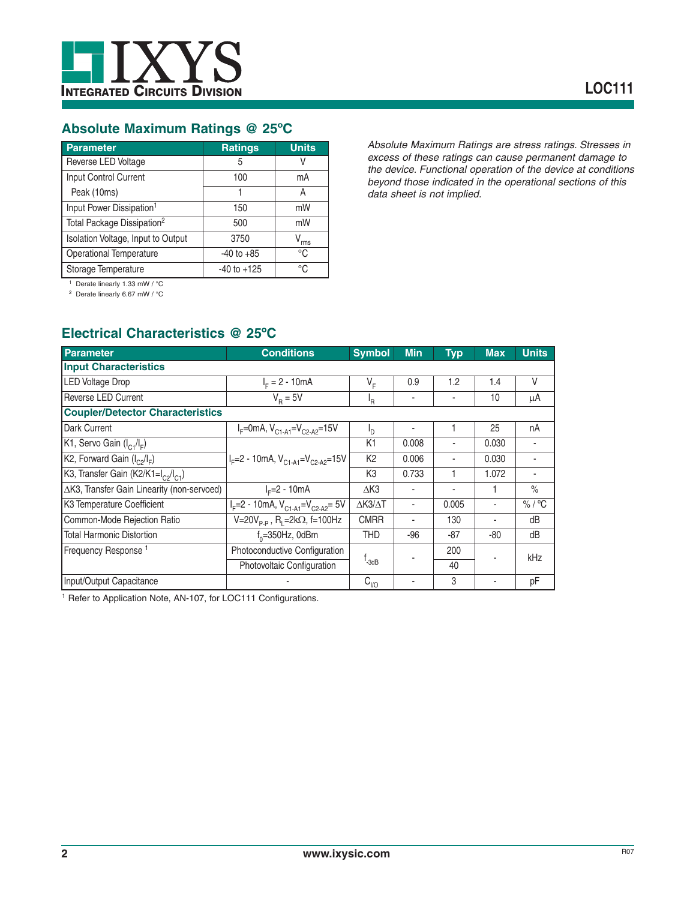

## **Absolute Maximum Ratings @ 25ºC**

| <b>Parameter</b>                       | <b>Ratings</b>  | <b>Units</b> |
|----------------------------------------|-----------------|--------------|
| Reverse LED Voltage                    | 5               |              |
| Input Control Current                  | 100             | mA           |
| Peak (10ms)                            |                 | А            |
| Input Power Dissipation <sup>1</sup>   | 150             | mW           |
| Total Package Dissipation <sup>2</sup> | 500             | mW           |
| Isolation Voltage, Input to Output     | 3750            | $V_{rms}$    |
| <b>Operational Temperature</b>         | $-40$ to $+85$  | °C           |
| Storage Temperature                    | $-40$ to $+125$ | °C           |

*Absolute Maximum Ratings are stress ratings. Stresses in excess of these ratings can cause permanent damage to the device. Functional operation of the device at conditions beyond those indicated in the operational sections of this data sheet is not implied.*

1 Derate linearly 1.33 mW / °C

2 Derate linearly 6.67 mW / °C

## **Electrical Characteristics @ 25ºC**

| Parameter                                                   | <b>Conditions</b>                                     | <b>Symbol</b>                 | <b>Min</b>        | <b>Typ</b> | <b>Max</b> | <b>Units</b> |
|-------------------------------------------------------------|-------------------------------------------------------|-------------------------------|-------------------|------------|------------|--------------|
| <b>Input Characteristics</b>                                |                                                       |                               |                   |            |            |              |
| <b>LED Voltage Drop</b>                                     | $I_{E} = 2 - 10mA$                                    | $V_F$                         | 0.9               | 1.2        | 1.4        | V            |
| Reverse LED Current                                         | $V_{\rm B} = 5V$                                      | 'R                            | ٠                 | ٠          | 10         | μA           |
| <b>Coupler/Detector Characteristics</b>                     |                                                       |                               |                   |            |            |              |
| Dark Current                                                | $I_F$ =0mA, $V_{C1-A1}$ = $V_{C2-A2}$ =15V            | ٠h                            | ۰                 |            | 25         | nA           |
| K1, Servo Gain $(I_{C1}/I_{F})$                             |                                                       | K <sub>1</sub>                | 0.008             | ٠          | 0.030      |              |
| K2, Forward Gain $(I_{C2}/I_F)$                             | $IF=2 - 10mA, VC1-A1=VC2-A2=15V$                      | K <sub>2</sub>                | 0.006             | ٠          | 0.030      |              |
| K3, Transfer Gain (K2/K1=l <sub>c2</sub> /l <sub>c1</sub> ) |                                                       | K <sub>3</sub>                | 0.733             |            | 1.072      |              |
| ∆K3, Transfer Gain Linearity (non-servoed)                  | $I_c = 2 - 10mA$                                      | $\triangle$ K3                |                   |            |            | $\%$         |
| K3 Temperature Coefficient                                  | $IF=2 - 10mA, VC1-A1=VC2-A2= 5V$                      | $\triangle$ K3/ $\triangle$ T | ٠                 | 0.005      | ٠          | % / °C       |
| Common-Mode Rejection Ratio                                 | $V=20V_{p,p}$ , R <sub>1</sub> =2k $\Omega$ , f=100Hz | <b>CMRR</b>                   |                   | 130        |            | dB           |
| <b>Total Harmonic Distortion</b>                            | $f_0 = 350$ Hz, 0dBm                                  | THD                           | $-96$             | $-87$      | $-80$      | dB           |
| Frequency Response <sup>1</sup>                             | Photoconductive Configuration                         |                               |                   | 200        |            | kHz          |
|                                                             | Photovoltaic Configuration                            |                               | t <sub>-3dB</sub> | 40         |            |              |
| Input/Output Capacitance                                    |                                                       | $C_{\underline{l}/O}$         |                   | 3          |            | pF           |

<sup>1</sup> Refer to Application Note, AN-107, for LOC111 Configurations.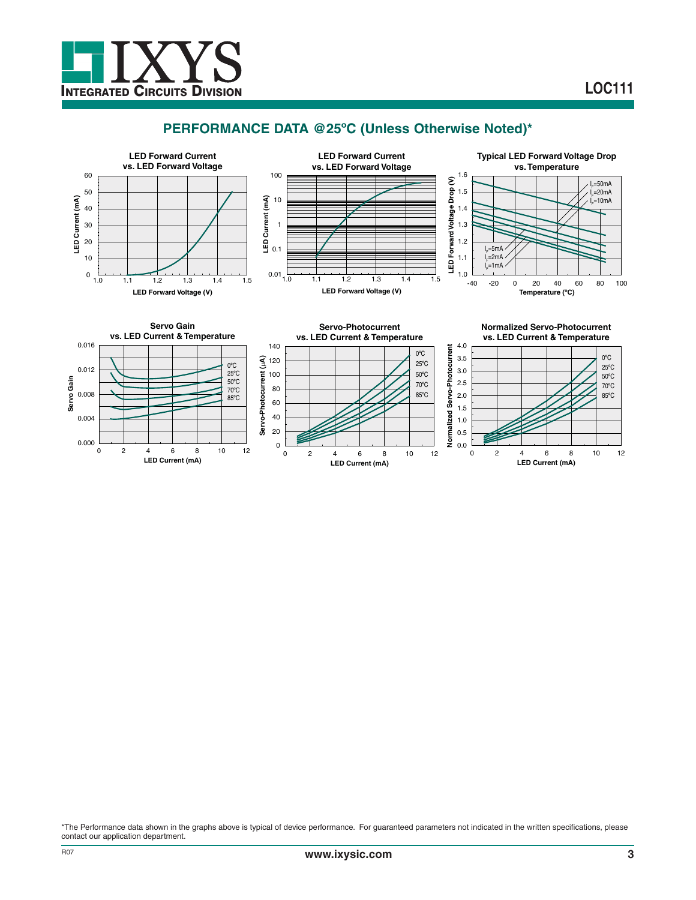

**LED Current (mA)**

**LED Current (mA)**

## **PERFORMANCE DATA @25ºC (Unless Otherwise Noted)\***



**LED Current (mA)**

\*The Performance data shown in the graphs above is typical of device performance. For guaranteed parameters not indicated in the written specifications, please contact our application department.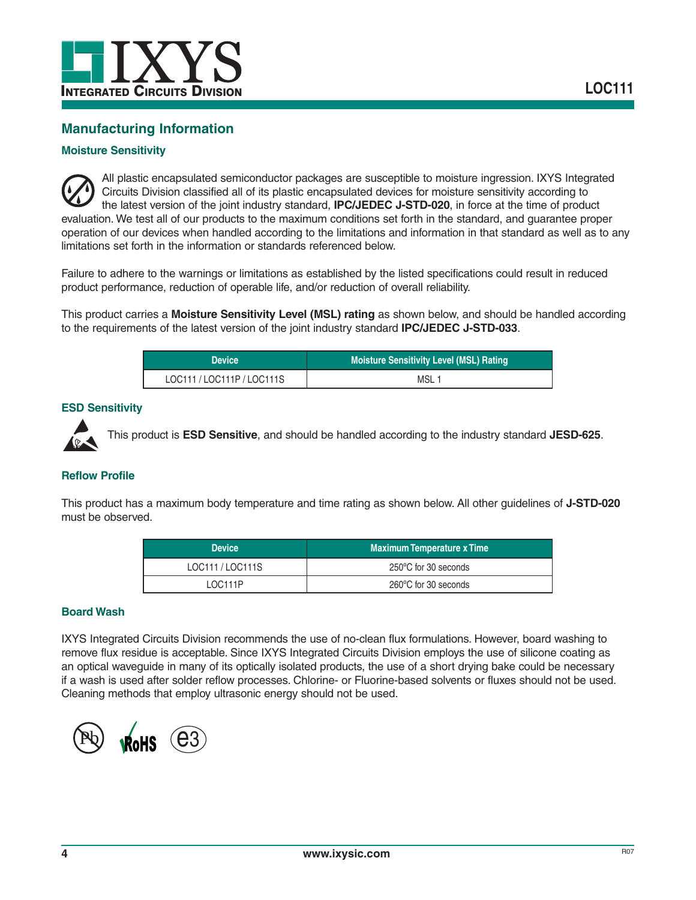

## **Manufacturing Information**

#### **Moisture Sensitivity**

All plastic encapsulated semiconductor packages are susceptible to moisture ingression. IXYS Integrated Circuits Division classified all of its plastic encapsulated devices for moisture sensitivity according to the latest version of the joint industry standard, **IPC/JEDEC J-STD-020**, in force at the time of product evaluation. We test all of our products to the maximum conditions set forth in the standard, and guarantee proper operation of our devices when handled according to the limitations and information in that standard as well as to any limitations set forth in the information or standards referenced below.

Failure to adhere to the warnings or limitations as established by the listed specifications could result in reduced product performance, reduction of operable life, and/or reduction of overall reliability.

This product carries a **Moisture Sensitivity Level (MSL) rating** as shown below, and should be handled according to the requirements of the latest version of the joint industry standard **IPC/JEDEC J-STD-033**.

| <b>Device</b>              | <b>Moisture Sensitivity Level (MSL) Rating \</b> |
|----------------------------|--------------------------------------------------|
| LOC111 / LOC111P / LOC111S | MSL 1                                            |

#### **ESD Sensitivity**



This product is **ESD Sensitive**, and should be handled according to the industry standard **JESD-625**.

#### **Reflow Profile**

This product has a maximum body temperature and time rating as shown below. All other guidelines of **J-STD-020** must be observed.

| <b>Device</b>  | <b>Maximum Temperature x Time</b> |
|----------------|-----------------------------------|
| LOC111/LOC111S | 250°C for 30 seconds              |
| LOC111P        | 260°C for 30 seconds              |

#### **Board Wash**

IXYS Integrated Circuits Division recommends the use of no-clean flux formulations. However, board washing to remove flux residue is acceptable. Since IXYS Integrated Circuits Division employs the use of silicone coating as an optical waveguide in many of its optically isolated products, the use of a short drying bake could be necessary if a wash is used after solder reflow processes. Chlorine- or Fluorine-based solvents or fluxes should not be used. Cleaning methods that employ ultrasonic energy should not be used.

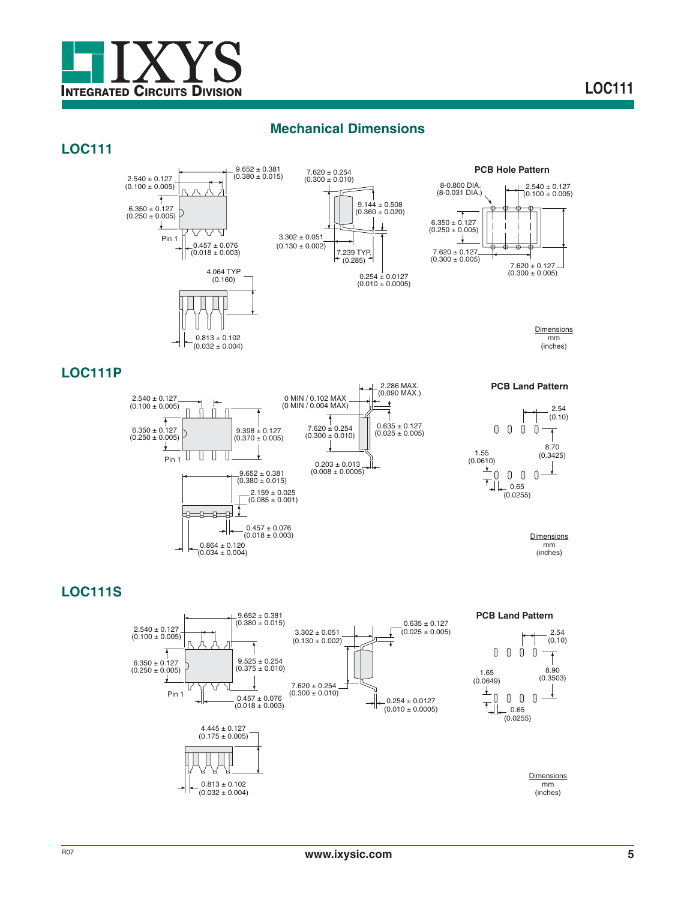

## **Mechanical Dimensions**

## **LOC111**



## **LOC111P**



## **LOC111S**

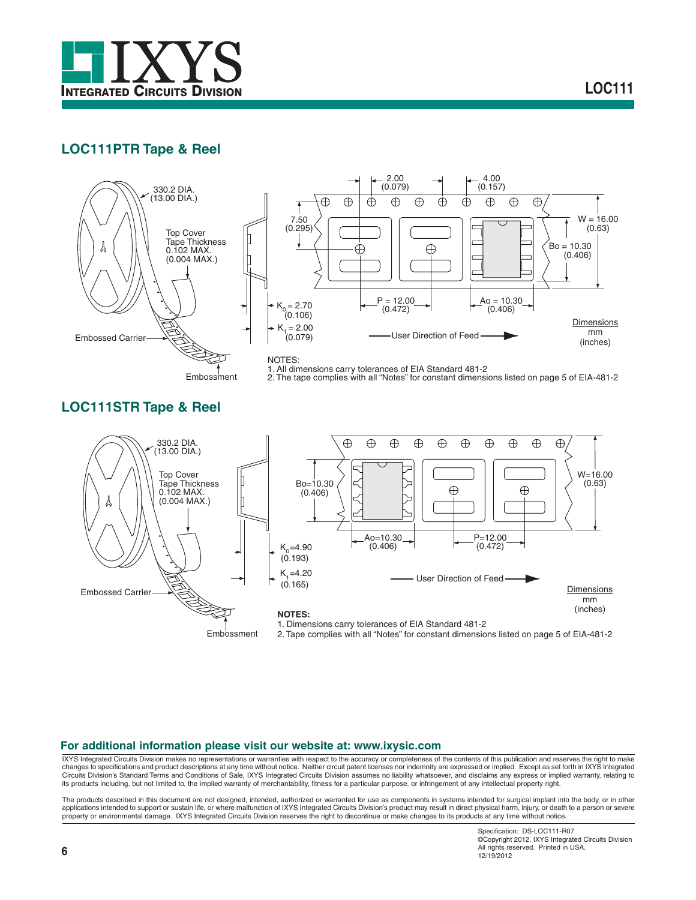

## **LOC111PTR Tape & Reel**



Embossment 2. The tape complies with all "Notes" for constant dimensions listed on page 5 of EIA-481-2

## **LOC111STR Tape & Reel**



#### **For additional information please visit our website at: www.ixysic.com**

IXYS Integrated Circuits Division makes no representations or warranties with respect to the accuracy or completeness of the contents of this publication and reserves the right to make changes to specifications and product descriptions at any time without notice. Neither circuit patent licenses nor indemnity are expressed or implied. Except as set forth in IXYS Integrated Circuits Division's Standard Terms and Conditions of Sale, IXYS Integrated Circuits Division assumes no liability whatsoever, and disclaims any express or implied warranty, relating to<br>its products including, but not limit

The products described in this document are not designed, intended, authorized or warranted for use as components in systems intended for surgical implant into the body, or in other<br>applications intended to support or sust property or environmental damage. IXYS Integrated Circuits Division reserves the right to discontinue or make changes to its products at any time without notice.